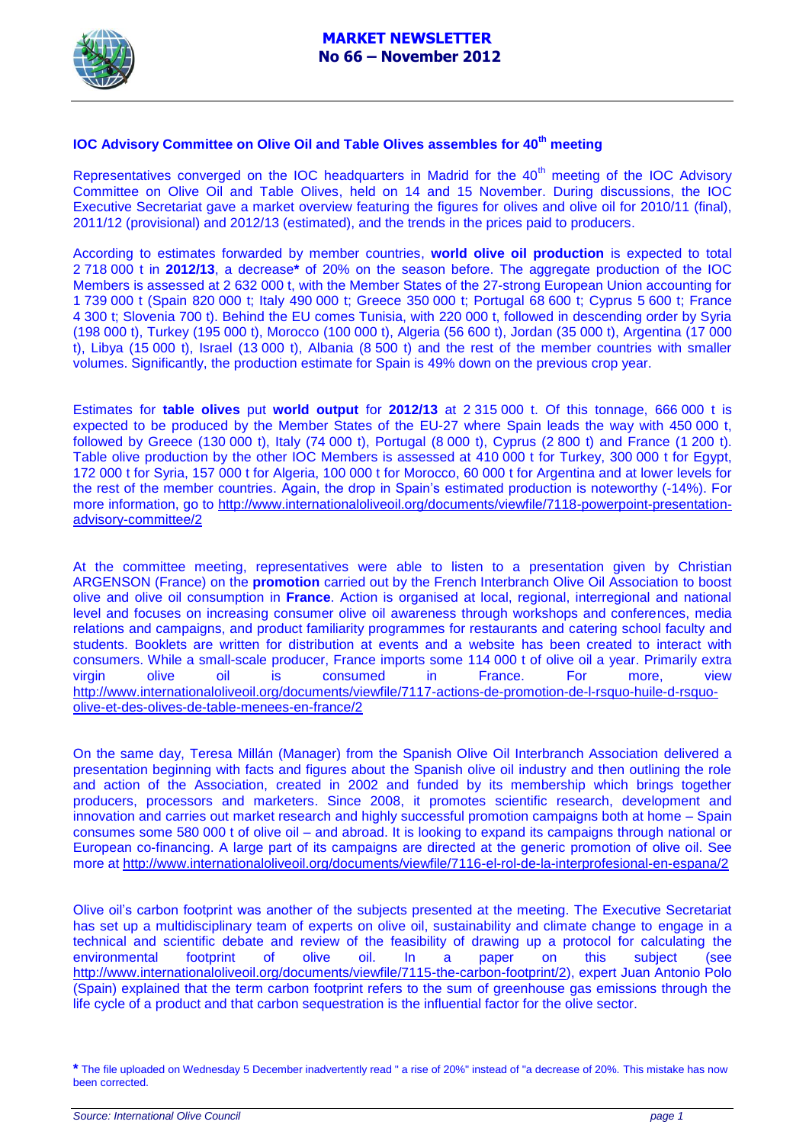

# **IOC Advisory Committee on Olive Oil and Table Olives assembles for 40th meeting**

Representatives converged on the IOC headquarters in Madrid for the 40<sup>th</sup> meeting of the IOC Advisory Committee on Olive Oil and Table Olives, held on 14 and 15 November. During discussions, the IOC Executive Secretariat gave a market overview featuring the figures for olives and olive oil for 2010/11 (final), 2011/12 (provisional) and 2012/13 (estimated), and the trends in the prices paid to producers.

According to estimates forwarded by member countries, **world olive oil production** is expected to total 2 718 000 t in **2012/13**, a decrease**\*** of 20% on the season before. The aggregate production of the IOC Members is assessed at 2 632 000 t, with the Member States of the 27-strong European Union accounting for 1 739 000 t (Spain 820 000 t; Italy 490 000 t; Greece 350 000 t; Portugal 68 600 t; Cyprus 5 600 t; France 4 300 t; Slovenia 700 t). Behind the EU comes Tunisia, with 220 000 t, followed in descending order by Syria (198 000 t), Turkey (195 000 t), Morocco (100 000 t), Algeria (56 600 t), Jordan (35 000 t), Argentina (17 000 t), Libya (15 000 t), Israel (13 000 t), Albania (8 500 t) and the rest of the member countries with smaller volumes. Significantly, the production estimate for Spain is 49% down on the previous crop year.

Estimates for **table olives** put **world output** for **2012/13** at 2 315 000 t. Of this tonnage, 666 000 t is expected to be produced by the Member States of the EU-27 where Spain leads the way with 450 000 t, followed by Greece (130 000 t), Italy (74 000 t), Portugal (8 000 t), Cyprus (2 800 t) and France (1 200 t). Table olive production by the other IOC Members is assessed at 410 000 t for Turkey, 300 000 t for Egypt, 172 000 t for Syria, 157 000 t for Algeria, 100 000 t for Morocco, 60 000 t for Argentina and at lower levels for the rest of the member countries. Again, the drop in Spain's estimated production is noteworthy (-14%). For more information, go to [http://www.internationaloliveoil.org/documents/viewfile/7118-powerpoint-presentation](http://www.internationaloliveoil.org/documents/viewfile/7118-powerpoint-presentation-advisory-committee/2)[advisory-committee/2](http://www.internationaloliveoil.org/documents/viewfile/7118-powerpoint-presentation-advisory-committee/2)

At the committee meeting, representatives were able to listen to a presentation given by Christian ARGENSON (France) on the **promotion** carried out by the French Interbranch Olive Oil Association to boost olive and olive oil consumption in **France**. Action is organised at local, regional, interregional and national level and focuses on increasing consumer olive oil awareness through workshops and conferences, media relations and campaigns, and product familiarity programmes for restaurants and catering school faculty and students. Booklets are written for distribution at events and a website has been created to interact with consumers. While a small-scale producer, France imports some 114 000 t of olive oil a year. Primarily extra virgin olive oil is consumed in France. For more, view [http://www.internationaloliveoil.org/documents/viewfile/7117-actions-de-promotion-de-l-rsquo-huile-d-rsquo](http://www.internationaloliveoil.org/documents/viewfile/7117-actions-de-promotion-de-l-rsquo-huile-d-rsquo-olive-et-des-olives-de-table-menees-en-france/2)[olive-et-des-olives-de-table-menees-en-france/2](http://www.internationaloliveoil.org/documents/viewfile/7117-actions-de-promotion-de-l-rsquo-huile-d-rsquo-olive-et-des-olives-de-table-menees-en-france/2)

On the same day, Teresa Millán (Manager) from the Spanish Olive Oil Interbranch Association delivered a presentation beginning with facts and figures about the Spanish olive oil industry and then outlining the role and action of the Association, created in 2002 and funded by its membership which brings together producers, processors and marketers. Since 2008, it promotes scientific research, development and innovation and carries out market research and highly successful promotion campaigns both at home – Spain consumes some 580 000 t of olive oil – and abroad. It is looking to expand its campaigns through national or European co-financing. A large part of its campaigns are directed at the generic promotion of olive oil. See more at <http://www.internationaloliveoil.org/documents/viewfile/7116-el-rol-de-la-interprofesional-en-espana/2>

Olive oil's carbon footprint was another of the subjects presented at the meeting. The Executive Secretariat has set up a multidisciplinary team of experts on olive oil, sustainability and climate change to engage in a technical and scientific debate and review of the feasibility of drawing up a protocol for calculating the environmental footprint of olive oil. In a paper on this subject (see [http://www.internationaloliveoil.org/documents/viewfile/7115-the-carbon-footprint/2\)](http://www.internationaloliveoil.org/documents/viewfile/7115-the-carbon-footprint/2), expert Juan Antonio Polo (Spain) explained that the term carbon footprint refers to the sum of greenhouse gas emissions through the life cycle of a product and that carbon sequestration is the influential factor for the olive sector.

**<sup>\*</sup>** The file uploaded on Wednesday 5 December inadvertently read " a rise of 20%" instead of "a decrease of 20%. This mistake has now been corrected.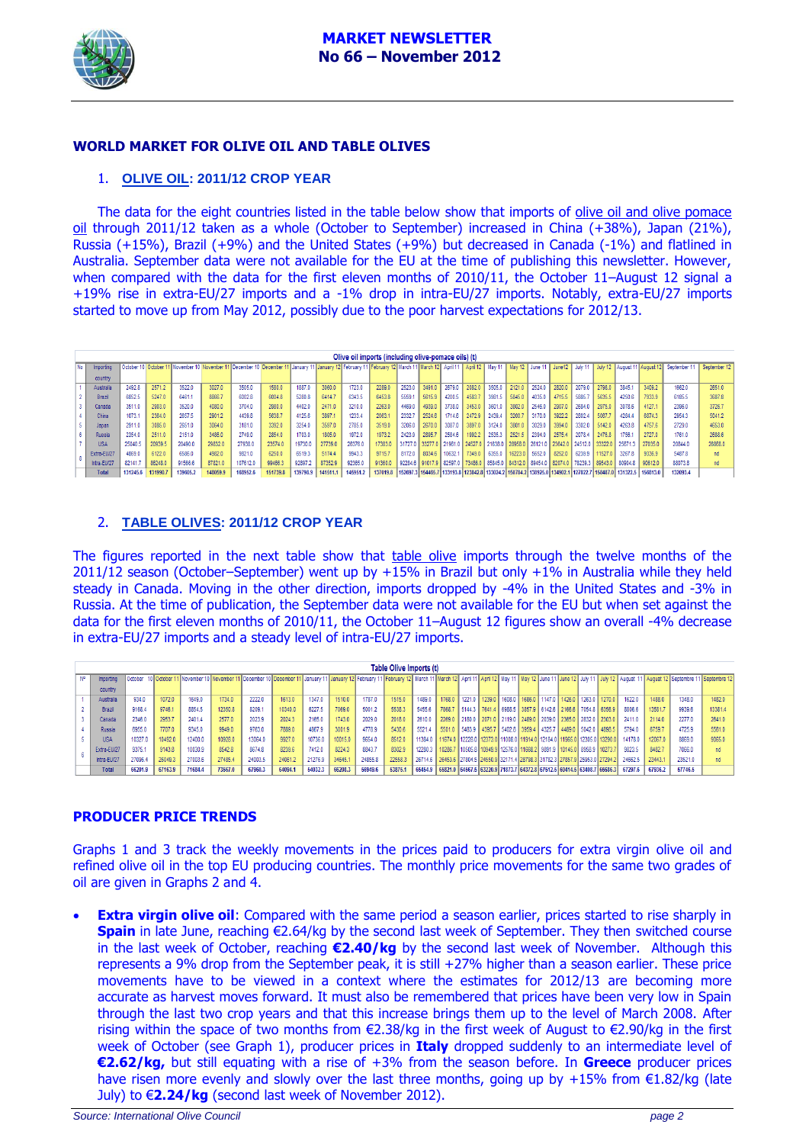

# **WORLD MARKET FOR OLIVE OIL AND TABLE OLIVES**

#### 1. **OLIVE OIL: 2011/12 CROP YEAR**

The data for the eight countries listed in the table below show that imports of olive oil and olive pomace oil through 2011/12 taken as a whole (October to September) increased in China (+38%), Japan (21%), Russia (+15%), Brazil (+9%) and the United States (+9%) but decreased in Canada (-1%) and flatlined in Australia. September data were not available for the EU at the time of publishing this newsletter. However, when compared with the data for the first eleven months of 2010/11, the October 11–August 12 signal a +19% rise in extra-EU/27 imports and a -1% drop in intra-EU/27 imports. Notably, extra-EU/27 imports started to move up from May 2012, possibly due to the poor harvest expectations for 2012/13.

| Olive oil imports (including olive-pomace oils) (t) |                  |          |          |          |          |          |                                                                                                                                                                                                |          |          |          |          |                 |        |                                 |          |                 |                                 |                 |        |                 |                 |                                                                                                             |         |                                                               |         |
|-----------------------------------------------------|------------------|----------|----------|----------|----------|----------|------------------------------------------------------------------------------------------------------------------------------------------------------------------------------------------------|----------|----------|----------|----------|-----------------|--------|---------------------------------|----------|-----------------|---------------------------------|-----------------|--------|-----------------|-----------------|-------------------------------------------------------------------------------------------------------------|---------|---------------------------------------------------------------|---------|
| <b>No</b>                                           | <b>Importing</b> |          |          |          |          |          | October 10 October 11 November 10 November 11 December 10 December 11 January 11 January 12 February 11 February 12 March 11 March 12 April 11 April 11 April 12 May 11 May 12 June 11 June 12 |          |          |          |          |                 |        |                                 |          |                 |                                 |                 |        |                 |                 |                                                                                                             |         | July 11 July 12 August 11 August 12 September 11 September 12 |         |
|                                                     | country          |          |          |          |          |          |                                                                                                                                                                                                |          |          |          |          |                 |        |                                 |          |                 |                                 |                 |        |                 |                 |                                                                                                             |         |                                                               |         |
|                                                     | Australia        | 2492.8   | 2571.2   | 3522.0   | 3027.0   | 3505.0   | 1580.0                                                                                                                                                                                         | 1887.0   | 3060.0   | 1723.0   | 2289.0   | 2523.0          | 3491.0 | 2679.0                          | 2082.0   | 3505.0          | 2121.0                          | 2524.0          | 2820.0 | 2079.0          | 2798.0          | 3845.1                                                                                                      | 3409.2  | 1662.0                                                        | 2651.0  |
|                                                     | Brazi            | 6852.5   | 5247.0   | 6461.1   | 8866.7   | 6002.8   | 6004.8                                                                                                                                                                                         | 5280.8   | 6414.7   | 6343.5   | 6453.8   | 5559.1          | 5615.9 | 4200.5                          | 4583.7   | 3981.5          | 5845.0                          | 4035.0          | 4715.5 | 5885.           | 5635.5          | 4250.6                                                                                                      | 7933.9  | 6185.5                                                        | 3687.8  |
|                                                     | Canada           | 3511.0   | 2903.0   | 3520.0   | 4080.0   | 3704.0   | 2980.0                                                                                                                                                                                         | 4402.0   | 2471.0   | 3210.0   | 2263.0   | 4469.0          | 4939.0 | 3738.0                          | 3453.0   | 3601.0          | 3802.0                          | 2546.0          | 2907.0 | 2684.0          | 2975.0          | 3078.6                                                                                                      | 4127.   | 2396.0                                                        | 3726.   |
|                                                     | China            | 1073.1   | 2364.0   | 2657.5   | 2901.2   | 4439.8   | 5638.7                                                                                                                                                                                         | 4125.6   | 3897.    | 1233.4   | 2063.    | 2332.7          | 2524.6 | 1714.6                          | 2472.9   | 2439.4          | 3200.7                          | 3170.0          | 3922.2 | 2802.4          | 5067.7          | 4284.4                                                                                                      | 6874.3  | 2954.3                                                        | 5041.2  |
|                                                     | Japan            | 2911.0   | 3085.0   | 2651.0   | 3064.0   | 3181.0   | 3392.0                                                                                                                                                                                         | 3254.0   | 3597.0   | 2785.0   | 3519.0   | 3206.0          | 2670.0 | 3087.0                          | 3897.0   | 3124.0          | 3801.0                          | 3029.0          | 3994.0 | 3302.0          | 5142.0          | 4263.8                                                                                                      | 4757.6  | 2729.0                                                        | 4653.0  |
|                                                     | Russia           | 2354.0   | 2511.0   | 2151.0   | 3486.0   | 2749.0   | 2854.0                                                                                                                                                                                         | 1703.0   | 1805.0   | 1972.0   | 1973.2   | 2423.9          | 2895.7 | 2584.6                          | 1992.2   | 2535.3          | 2521.5                          | 2394.0          | 2575.4 | 2078.4          | 2476.8          | 1756                                                                                                        | 2727.0  | 1761.0                                                        | 2688.6  |
|                                                     | <b>USA</b>       | 25040.5  | 20939.5  | 20490.0  | 29832.0  | 27938.0  | 23574.0                                                                                                                                                                                        | 19730.0  | 27739.0  | 26376.0  | 17383.0  | 31727.0 33277.0 |        | 21961.0 24527.0                 |          | 21638.0 28958.0 |                                 | 26121.0 23642.0 |        | 24512.0 33322.0 |                 | 25671                                                                                                       | 27035.0 | 20844.0                                                       | 26868.0 |
|                                                     | Extra-EU/27      | 4869.    | 6122.0   | 6586.0   | 4982.0   | 9821.0   | 6250.0                                                                                                                                                                                         | 6519.3   | 5174.4   | 9943.3   | 9715.7   | 8172.0          | 8034.6 | 10632.1                         | 1 7349.0 | 6355.0          | 16223.0                         | 5652.0          | 8252.0 | 6239.9          | 11527.0         | 3267.8                                                                                                      | 9336.9  | 5487.8                                                        | nd      |
|                                                     | Intra-EU/27      | 82141.7  | 86248.0  | 91566.6  | 87821.0  | 107612.0 | 99466.3                                                                                                                                                                                        | 92897.2  | 87352.9  | 92365.0  | 91360.0  |                 |        | 92284.6 91017.9 82597.0 73486.0 |          |                 | 85845.0 84312.0 89454.0 82074.0 |                 |        |                 | 78239.3 89543.0 | 80904.8                                                                                                     | 90612.0 | 88073.8                                                       | nd      |
|                                                     | Total            | 131245.6 | 131990.7 | 139605.2 | 148059.9 | 168952.6 | 151739.8                                                                                                                                                                                       | 139798.9 | 141511.1 | 145951.2 | 137019.8 |                 |        |                                 |          |                 |                                 |                 |        |                 |                 | 152697.3 154465.7 133193.8 123842.8 133024.2 150784.2 138925.0 134902.1 127822.7 158487.0 131322.5 156813.0 |         | 132093.4                                                      |         |

### 2. **TABLE OLIVES: 2011/12 CROP YEAR**

The figures reported in the next table show that table olive imports through the twelve months of the 2011/12 season (October–September) went up by +15% in Brazil but only +1% in Australia while they held steady in Canada. Moving in the other direction, imports dropped by -4% in the United States and -3% in Russia. At the time of publication, the September data were not available for the EU but when set against the data for the first eleven months of 2010/11, the October 11–August 12 figures show an overall -4% decrease in extra-EU/27 imports and a steady level of intra-EU/27 imports.

| Table Olive Imports (t) |               |         |         |         |         |         |         |         |         |         |         |                                                                                 |        |                                                                         |                                                         |  |                      |        |        |         |         |         |                                                                                                                                                                                                                                |
|-------------------------|---------------|---------|---------|---------|---------|---------|---------|---------|---------|---------|---------|---------------------------------------------------------------------------------|--------|-------------------------------------------------------------------------|---------------------------------------------------------|--|----------------------|--------|--------|---------|---------|---------|--------------------------------------------------------------------------------------------------------------------------------------------------------------------------------------------------------------------------------|
|                         | Importing     |         |         |         |         |         |         |         |         |         |         |                                                                                 |        |                                                                         |                                                         |  |                      |        |        |         |         |         | October 10 October 11 November 10 November 11 December 10 December 11 January 11 January 11 January 11 JFebruary 12 March 11 March 11 March 12 April 11 April 12 July 11 May 12 July 11 July 12 July 11 July 12 August 11 Augu |
|                         | country       |         |         |         |         |         |         |         |         |         |         |                                                                                 |        |                                                                         |                                                         |  |                      |        |        |         |         |         |                                                                                                                                                                                                                                |
|                         | Australia     | 934.0   | 1072.0  | 1649.0  | 1734.0  | 2222.0  | 1613.0  | 1347.0  | 1510.0  | 1787.0  | 1515.0  | 1489.0                                                                          | 1768.0 | 1221.0                                                                  | 1239.0 1608.0                                           |  | 1686.0 1147.0 1426.0 | 1263.0 | 1270.0 | 1622.0  | 1488.0  | 1348.0  | 1482.0                                                                                                                                                                                                                         |
|                         | Brazil        | 9168.4  | 9746.   | 8854.5  | 2350.8  | 8209.   | 10340.0 | 6227.5  | 7069.0  | 5001.2  | 5538.3  | 5455.6                                                                          | 7868.7 |                                                                         | 5144.3 7641.4 6988.5 3857.9 6142.6 2166.6 7054.8 6356.9 |  |                      |        |        | 8806.6  | 13581.7 | 9939.6  | 13381.4                                                                                                                                                                                                                        |
|                         | Canada        | 2346.0  | 2953.7  | 2401.4  | 2577.0  | 2023.9  | 2024.3  | 2165.0  | 1743.0  | 2029.0  | 2018.0  | 2610.0                                                                          | 2269.0 |                                                                         | 2180.0 2071.0 2119.0 2489.0 2039.0 2365.0 2832.0 2303.0 |  |                      |        |        | 2411.0  | 2114.0  | 2277.0  | 2641.0                                                                                                                                                                                                                         |
|                         | <b>Russia</b> | 6955.0  | 7707.0  | 9345.0  | 9949.0  | 9763.0  | 7889.0  | 4867.9  | 3001.9  | 4778.9  | 5430.6  | 5521.4                                                                          | 5501.0 | 5483.9   4395.7   5402.8   3959.4   4325.7   4489.0   5042.0   4898.5   |                                                         |  |                      |        |        | 5794.0  | 6759.7  | 4725.9  | 5561.                                                                                                                                                                                                                          |
|                         | <b>USA</b>    | 10327.  | 10492.0 | 12400.0 | 0928.0  | 13064.0 | 9927.0  | 10736.0 | 10015.0 | 9654.0  | 8512.0  | 11384.0                                                                         |        | 11674.0 12228.0 12373.0 11008.0 11914.0 12184.0 11965.0 12305.0 13290.1 |                                                         |  |                      |        |        | 14178.0 | 12067.0 | 8869.   | 9065.                                                                                                                                                                                                                          |
|                         | Extra-EU/27   | 9375.   | 9143.8  | 10030.9 | 8542.8  | 8674.8  | 8239.6  | 7412.0  | 8224.3  | 8843.7  | 8302.9  | 12280.3                                                                         |        | 10286.7 10505.8 10949.9 12576.0 11668.2 9891.9 10145.0 8958.9 10273.7   |                                                         |  |                      |        |        | 9823.5  | 8482.7  | 7066.   |                                                                                                                                                                                                                                |
|                         | Intra-EU/27   | 27096.4 | 26049.3 | 27003.6 | 27485.4 | 24003.5 | 24061.2 | 21276.9 | 34645.  | 24855.8 | 22558.  | 26714.6 26453.6 27804.5 24550.9 32171.4 28798.3 31782.3 27857.9 25953.0 27294.2 |        |                                                                         |                                                         |  |                      |        |        | 24662.5 | 23443.  | 23521.0 |                                                                                                                                                                                                                                |
|                         | <b>Total</b>  | 66201.9 | 67163.9 | 71684.4 | 73567.0 | 67960.3 | 64094.1 | 54032.3 | 66208.3 | 56949.6 | 53875.1 | 65454.9 65821.0 64567.5 63220.9 71873.7 64372.8 67512.5 60414.5 63408.7 65686.3 |        |                                                                         |                                                         |  |                      |        |        | 67297.6 | 67936.2 | 57746.5 |                                                                                                                                                                                                                                |

#### **PRODUCER PRICE TRENDS**

Graphs 1 and 3 track the weekly movements in the prices paid to producers for extra virgin olive oil and refined olive oil in the top EU producing countries. The monthly price movements for the same two grades of oil are given in Graphs 2 and 4.

**Extra virgin olive oil:** Compared with the same period a season earlier, prices started to rise sharply in **Spain** in late June, reaching €2.64/kg by the second last week of September. They then switched course in the last week of October, reaching **€2.40/kg** by the second last week of November. Although this represents a 9% drop from the September peak, it is still +27% higher than a season earlier. These price movements have to be viewed in a context where the estimates for 2012/13 are becoming more accurate as harvest moves forward. It must also be remembered that prices have been very low in Spain through the last two crop years and that this increase brings them up to the level of March 2008. After rising within the space of two months from €2.38/kg in the first week of August to €2.90/kg in the first week of October (see Graph 1), producer prices in **Italy** dropped suddenly to an intermediate level of **€2.62/kg,** but still equating with a rise of +3% from the season before. In **Greece** producer prices have risen more evenly and slowly over the last three months, going up by +15% from  $\epsilon$ 1.82/kg (late July) to €**2.24/kg** (second last week of November 2012).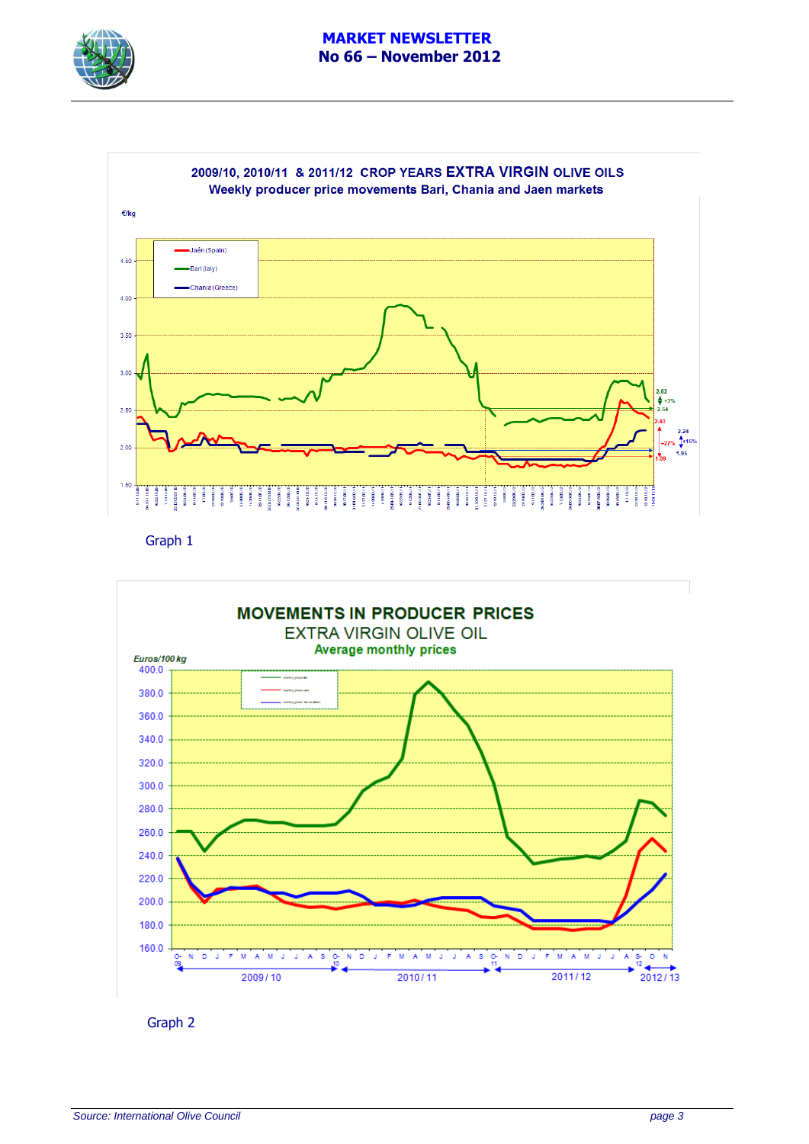



Graph 1



Graph 2